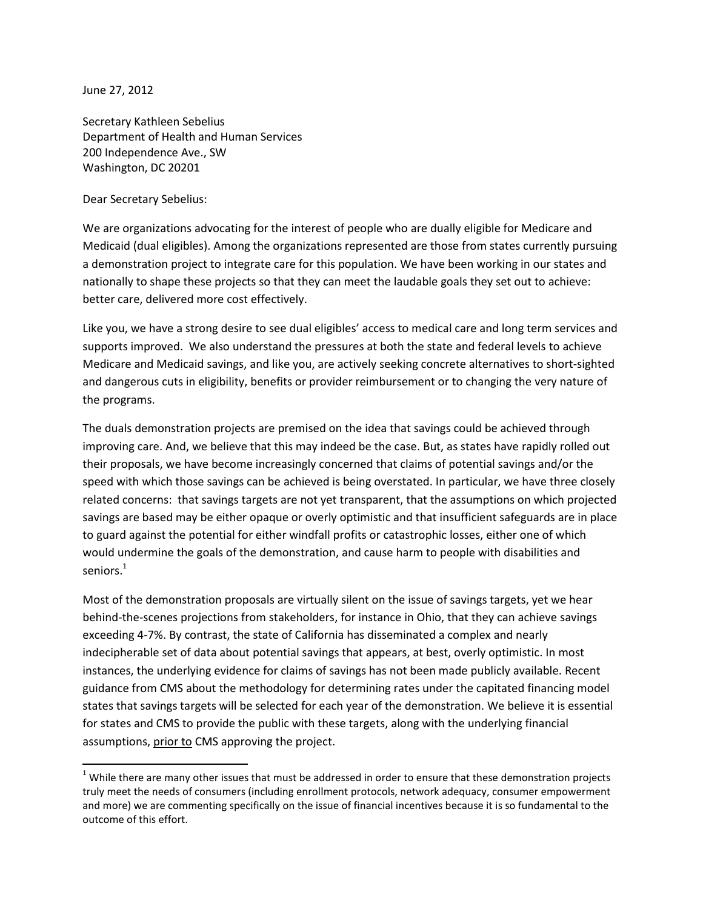June 27, 2012

 $\overline{a}$ 

Secretary Kathleen Sebelius Department of Health and Human Services 200 Independence Ave., SW Washington, DC 20201

Dear Secretary Sebelius:

We are organizations advocating for the interest of people who are dually eligible for Medicare and Medicaid (dual eligibles). Among the organizations represented are those from states currently pursuing a demonstration project to integrate care for this population. We have been working in our states and nationally to shape these projects so that they can meet the laudable goals they set out to achieve: better care, delivered more cost effectively.

Like you, we have a strong desire to see dual eligibles' access to medical care and long term services and supports improved. We also understand the pressures at both the state and federal levels to achieve Medicare and Medicaid savings, and like you, are actively seeking concrete alternatives to short-sighted and dangerous cuts in eligibility, benefits or provider reimbursement or to changing the very nature of the programs.

The duals demonstration projects are premised on the idea that savings could be achieved through improving care. And, we believe that this may indeed be the case. But, as states have rapidly rolled out their proposals, we have become increasingly concerned that claims of potential savings and/or the speed with which those savings can be achieved is being overstated. In particular, we have three closely related concerns: that savings targets are not yet transparent, that the assumptions on which projected savings are based may be either opaque or overly optimistic and that insufficient safeguards are in place to guard against the potential for either windfall profits or catastrophic losses, either one of which would undermine the goals of the demonstration, and cause harm to people with disabilities and seniors. $^1$ 

Most of the demonstration proposals are virtually silent on the issue of savings targets, yet we hear behind-the-scenes projections from stakeholders, for instance in Ohio, that they can achieve savings exceeding 4-7%. By contrast, the state of California has disseminated a complex and nearly indecipherable set of data about potential savings that appears, at best, overly optimistic. In most instances, the underlying evidence for claims of savings has not been made publicly available. Recent guidance from CMS about the methodology for determining rates under the capitated financing model states that savings targets will be selected for each year of the demonstration. We believe it is essential for states and CMS to provide the public with these targets, along with the underlying financial assumptions, prior to CMS approving the project.

 $1$  While there are many other issues that must be addressed in order to ensure that these demonstration projects truly meet the needs of consumers (including enrollment protocols, network adequacy, consumer empowerment and more) we are commenting specifically on the issue of financial incentives because it is so fundamental to the outcome of this effort.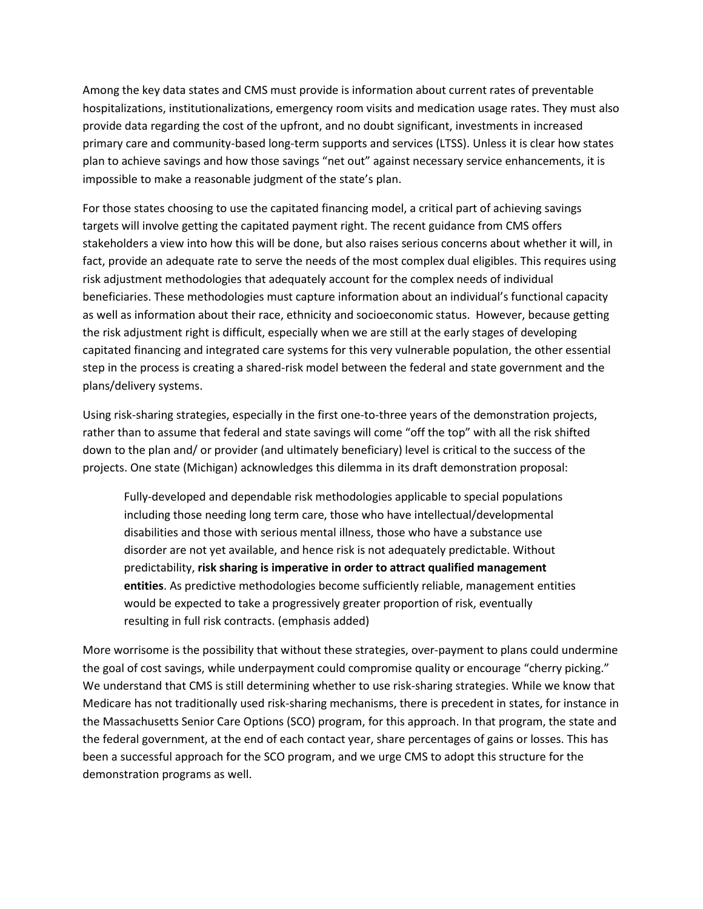Among the key data states and CMS must provide is information about current rates of preventable hospitalizations, institutionalizations, emergency room visits and medication usage rates. They must also provide data regarding the cost of the upfront, and no doubt significant, investments in increased primary care and community-based long-term supports and services (LTSS). Unless it is clear how states plan to achieve savings and how those savings "net out" against necessary service enhancements, it is impossible to make a reasonable judgment of the state's plan.

For those states choosing to use the capitated financing model, a critical part of achieving savings targets will involve getting the capitated payment right. The recent guidance from CMS offers stakeholders a view into how this will be done, but also raises serious concerns about whether it will, in fact, provide an adequate rate to serve the needs of the most complex dual eligibles. This requires using risk adjustment methodologies that adequately account for the complex needs of individual beneficiaries. These methodologies must capture information about an individual's functional capacity as well as information about their race, ethnicity and socioeconomic status. However, because getting the risk adjustment right is difficult, especially when we are still at the early stages of developing capitated financing and integrated care systems for this very vulnerable population, the other essential step in the process is creating a shared-risk model between the federal and state government and the plans/delivery systems.

Using risk-sharing strategies, especially in the first one-to-three years of the demonstration projects, rather than to assume that federal and state savings will come "off the top" with all the risk shifted down to the plan and/ or provider (and ultimately beneficiary) level is critical to the success of the projects. One state (Michigan) acknowledges this dilemma in its draft demonstration proposal:

Fully-developed and dependable risk methodologies applicable to special populations including those needing long term care, those who have intellectual/developmental disabilities and those with serious mental illness, those who have a substance use disorder are not yet available, and hence risk is not adequately predictable. Without predictability, **risk sharing is imperative in order to attract qualified management entities**. As predictive methodologies become sufficiently reliable, management entities would be expected to take a progressively greater proportion of risk, eventually resulting in full risk contracts. (emphasis added)

More worrisome is the possibility that without these strategies, over-payment to plans could undermine the goal of cost savings, while underpayment could compromise quality or encourage "cherry picking." We understand that CMS is still determining whether to use risk-sharing strategies. While we know that Medicare has not traditionally used risk-sharing mechanisms, there is precedent in states, for instance in the Massachusetts Senior Care Options (SCO) program, for this approach. In that program, the state and the federal government, at the end of each contact year, share percentages of gains or losses. This has been a successful approach for the SCO program, and we urge CMS to adopt this structure for the demonstration programs as well.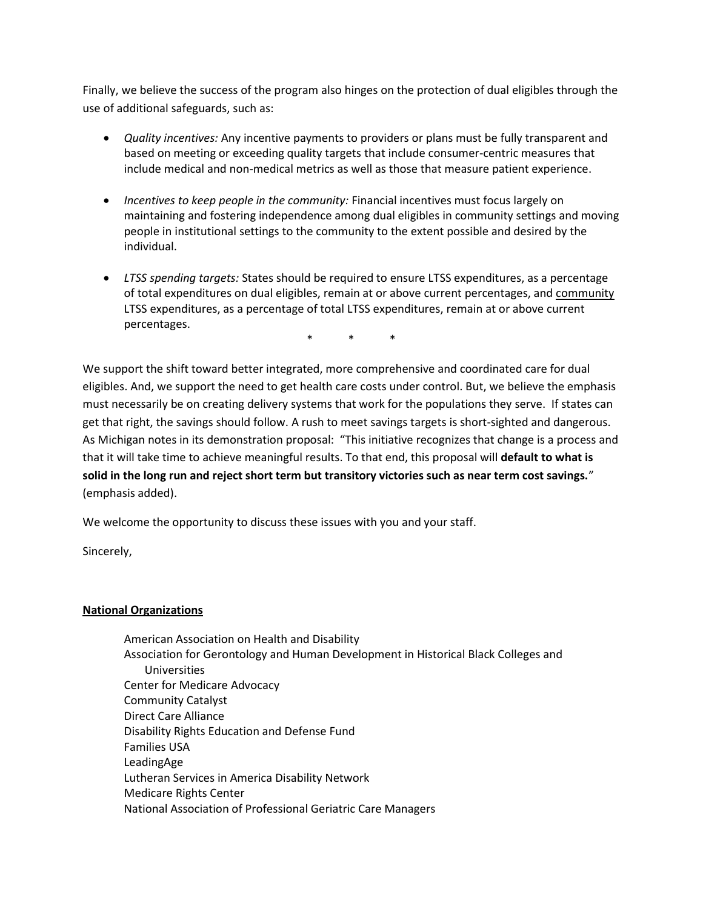Finally, we believe the success of the program also hinges on the protection of dual eligibles through the use of additional safeguards, such as:

- *Quality incentives:* Any incentive payments to providers or plans must be fully transparent and based on meeting or exceeding quality targets that include consumer-centric measures that include medical and non-medical metrics as well as those that measure patient experience.
- *Incentives to keep people in the community:* Financial incentives must focus largely on maintaining and fostering independence among dual eligibles in community settings and moving people in institutional settings to the community to the extent possible and desired by the individual.
- *LTSS spending targets:* States should be required to ensure LTSS expenditures, as a percentage of total expenditures on dual eligibles, remain at or above current percentages, and community LTSS expenditures, as a percentage of total LTSS expenditures, remain at or above current percentages.

\* \* \*

We support the shift toward better integrated, more comprehensive and coordinated care for dual eligibles. And, we support the need to get health care costs under control. But, we believe the emphasis must necessarily be on creating delivery systems that work for the populations they serve. If states can get that right, the savings should follow. A rush to meet savings targets is short-sighted and dangerous. As Michigan notes in its demonstration proposal: "This initiative recognizes that change is a process and that it will take time to achieve meaningful results. To that end, this proposal will **default to what is solid in the long run and reject short term but transitory victories such as near term cost savings.**" (emphasis added).

We welcome the opportunity to discuss these issues with you and your staff.

Sincerely,

# **National Organizations**

American Association on Health and Disability Association for Gerontology and Human Development in Historical Black Colleges and Universities Center for Medicare Advocacy Community Catalyst Direct Care Alliance Disability Rights Education and Defense Fund Families USA LeadingAge Lutheran Services in America Disability Network Medicare Rights Center National Association of Professional Geriatric Care Managers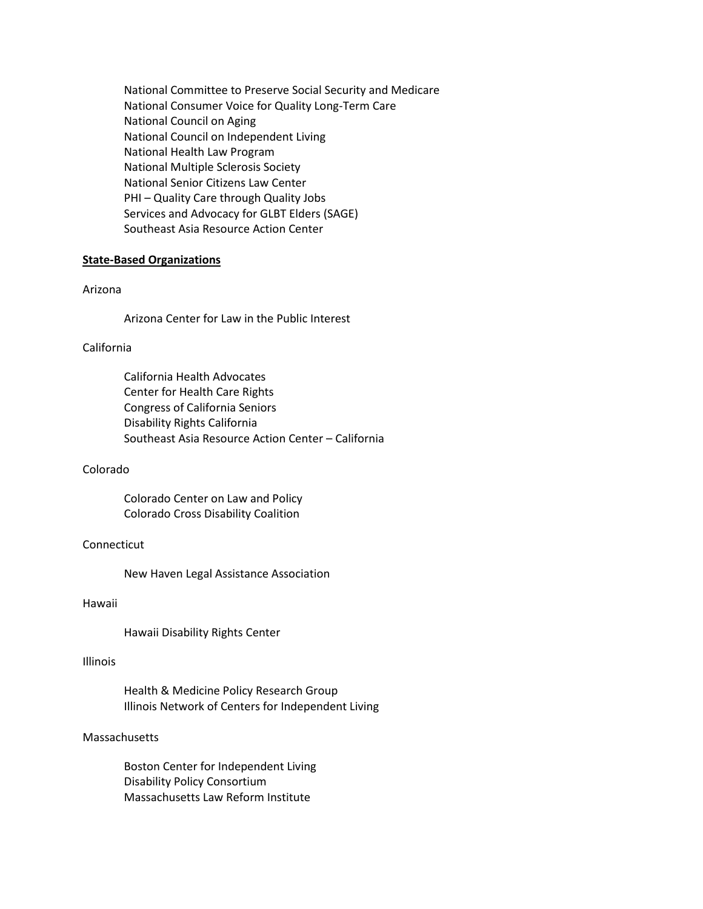National Committee to Preserve Social Security and Medicare National Consumer Voice for Quality Long-Term Care National Council on Aging National Council on Independent Living National Health Law Program National Multiple Sclerosis Society National Senior Citizens Law Center PHI – Quality Care through Quality Jobs Services and Advocacy for GLBT Elders (SAGE) Southeast Asia Resource Action Center

## **State-Based Organizations**

## Arizona

Arizona Center for Law in the Public Interest

## California

California Health Advocates Center for Health Care Rights Congress of California Seniors Disability Rights California Southeast Asia Resource Action Center – California

#### Colorado

Colorado Center on Law and Policy Colorado Cross Disability Coalition

### Connecticut

New Haven Legal Assistance Association

#### Hawaii

Hawaii Disability Rights Center

#### Illinois

Health & Medicine Policy Research Group Illinois Network of Centers for Independent Living

### **Massachusetts**

Boston Center for Independent Living Disability Policy Consortium Massachusetts Law Reform Institute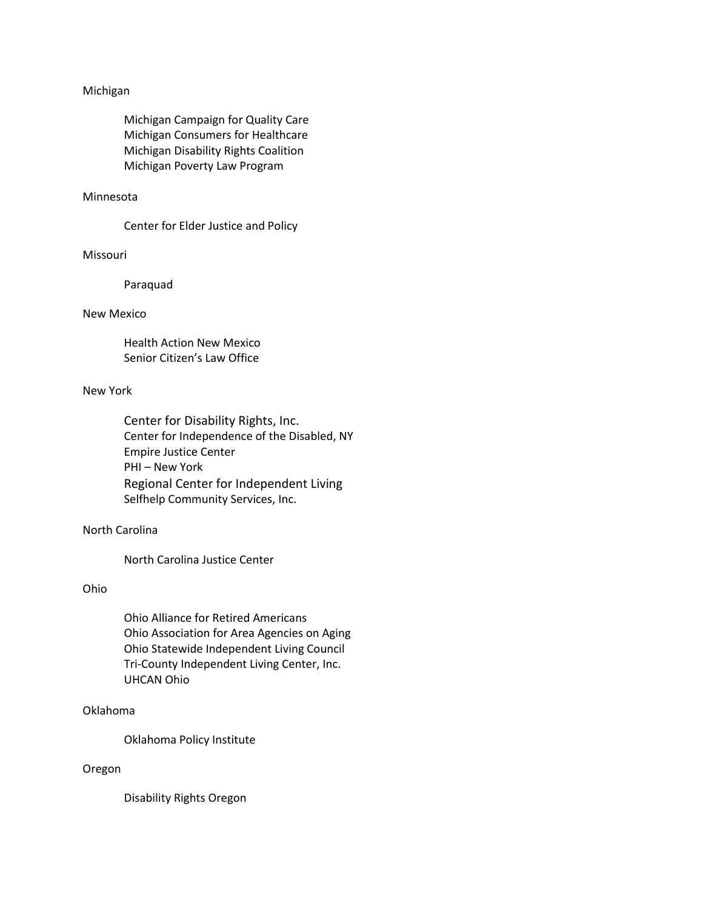### Michigan

Michigan Campaign for Quality Care Michigan Consumers for Healthcare Michigan Disability Rights Coalition Michigan Poverty Law Program

### Minnesota

Center for Elder Justice and Policy

### Missouri

Paraquad

### New Mexico

Health Action New Mexico Senior Citizen's Law Office

### New York

Center for Disability Rights, Inc. Center for Independence of the Disabled, NY Empire Justice Center PHI – New York Regional Center for Independent Living Selfhelp Community Services, Inc.

# North Carolina

North Carolina Justice Center

# Ohio

Ohio Alliance for Retired Americans Ohio Association for Area Agencies on Aging Ohio Statewide Independent Living Council Tri-County Independent Living Center, Inc. UHCAN Ohio

## Oklahoma

Oklahoma Policy Institute

## Oregon

Disability Rights Oregon